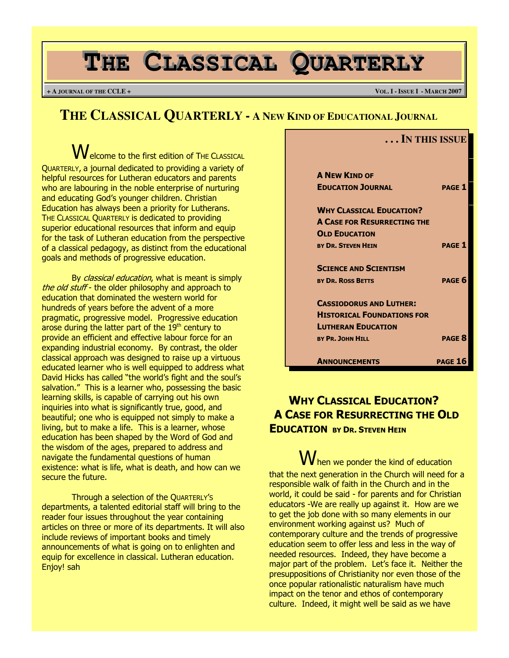# **THE CLASSICAL QUARTERLY**

**+ A JOURNAL OF THE CCLE + VOL. I - ISSUE I - MARCH 2007**

**. . . IN THIS ISSUE**

## **THE CLASSICAL QUARTERLY - A NEW KIND OF EDUCATIONAL JOURNAL**

**W**elcome to the first edition of THE CLASSICAL QUARTERLY, a journal dedicated to providing a variety of helpful resources for Lutheran educators and parents who are labouring in the noble enterprise of nurturing and educating God's younger children. Christian Education has always been a priority for Lutherans. THE CLASSICAL QUARTERLY is dedicated to providing superior educational resources that inform and equip for the task of Lutheran education from the perspective of a classical pedagogy, as distinct from the educational goals and methods of progressive education.

By classical education, what is meant is simply the old stuff - the older philosophy and approach to education that dominated the western world for hundreds of years before the advent of a more pragmatic, progressive model. Progressive education arose during the latter part of the  $19<sup>th</sup>$  century to provide an efficient and effective labour force for an expanding industrial economy. By contrast, the older classical approach was designed to raise up a virtuous educated learner who is well equipped to address what David Hicks has called "the world's fight and the soul's salvation." This is a learner who, possessing the basic learning skills, is capable of carrying out his own inquiries into what is significantly true, good, and beautiful; one who is equipped not simply to make a living, but to make a life. This is a learner, whose education has been shaped by the Word of God and the wisdom of the ages, prepared to address and navigate the fundamental questions of human existence: what is life, what is death, and how can we secure the future.

Through a selection of the QUARTERLY'S departments, a talented editorial staff will bring to the reader four issues throughout the year containing articles on three or more of its departments. It will also include reviews of important books and timely announcements of what is going on to enlighten and equip for excellence in classical. Lutheran education. Enjoy! sah

| <b>A NEW KIND OF</b>               |                |
|------------------------------------|----------------|
| <b>EDUCATION JOURNAL</b>           | <b>PAGF1</b>   |
| <b>WHY CLASSICAL EDUCATION?</b>    |                |
| <b>A CASE FOR RESURRECTING THE</b> |                |
| <b>OLD EDUCATION</b>               |                |
| <b>BY DR. STEVEN HEIN</b>          | <b>PAGE 1</b>  |
| <b>SCIENCE AND SCIENTISM</b>       |                |
| <b>BY DR. ROSS BETTS</b>           | <b>PAGF 6</b>  |
| <b>CASSIODORUS AND LUTHER:</b>     |                |
| <b>HISTORICAL FOUNDATIONS FOR</b>  |                |
| <b>LUTHERAN EDUCATION</b>          |                |
| <b>BY PR. JOHN HILL</b>            | <b>PAGF 8</b>  |
| <b>ANNOUNCEMENTS</b>               | <b>PAGE 16</b> |

## WHY CLASSICAL EDUCATION? A CASE FOR RESURRECTING THE OLD EDUCATION BY DR. STEVEN HEIN

 $\mathbf W$ hen we ponder the kind of education that the next generation in the Church will need for a responsible walk of faith in the Church and in the world, it could be said - for parents and for Christian educators -We are really up against it. How are we to get the job done with so many elements in our environment working against us? Much of contemporary culture and the trends of progressive education seem to offer less and less in the way of needed resources. Indeed, they have become a major part of the problem. Let's face it. Neither the presuppositions of Christianity nor even those of the once popular rationalistic naturalism have much impact on the tenor and ethos of contemporary culture. Indeed, it might well be said as we have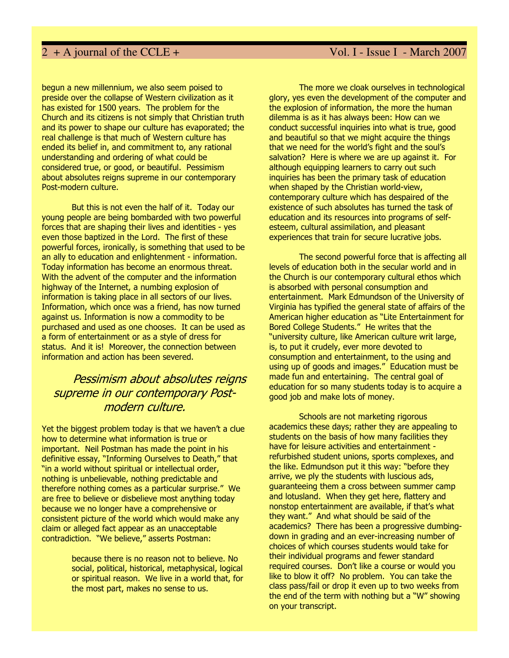begun a new millennium, we also seem poised to preside over the collapse of Western civilization as it has existed for 1500 years. The problem for the Church and its citizens is not simply that Christian truth and its power to shape our culture has evaporated; the real challenge is that much of Western culture has ended its belief in, and commitment to, any rational understanding and ordering of what could be considered true, or good, or beautiful. Pessimism about absolutes reigns supreme in our contemporary Post-modern culture.

But this is not even the half of it. Today our young people are being bombarded with two powerful forces that are shaping their lives and identities - yes even those baptized in the Lord. The first of these powerful forces, ironically, is something that used to be an ally to education and enlightenment - information. Today information has become an enormous threat. With the advent of the computer and the information highway of the Internet, a numbing explosion of information is taking place in all sectors of our lives. Information, which once was a friend, has now turned against us. Information is now a commodity to be purchased and used as one chooses. It can be used as a form of entertainment or as a style of dress for status. And it is! Moreover, the connection between information and action has been severed.

## Pessimism about absolutes reigns supreme in our contemporary Postmodern culture.

Yet the biggest problem today is that we haven't a clue how to determine what information is true or important. Neil Postman has made the point in his definitive essay, "Informing Ourselves to Death," that "in a world without spiritual or intellectual order, nothing is unbelievable, nothing predictable and therefore nothing comes as a particular surprise." We are free to believe or disbelieve most anything today because we no longer have a comprehensive or consistent picture of the world which would make any claim or alleged fact appear as an unacceptable contradiction. "We believe," asserts Postman:

> because there is no reason not to believe. No social, political, historical, metaphysical, logical or spiritual reason. We live in a world that, for the most part, makes no sense to us.

The more we cloak ourselves in technological glory, yes even the development of the computer and the explosion of information, the more the human dilemma is as it has always been: How can we conduct successful inquiries into what is true, good and beautiful so that we might acquire the things that we need for the world's fight and the soul's salvation? Here is where we are up against it. For although equipping learners to carry out such inquiries has been the primary task of education when shaped by the Christian world-view, contemporary culture which has despaired of the existence of such absolutes has turned the task of education and its resources into programs of selfesteem, cultural assimilation, and pleasant experiences that train for secure lucrative jobs.

The second powerful force that is affecting all levels of education both in the secular world and in the Church is our contemporary cultural ethos which is absorbed with personal consumption and entertainment. Mark Edmundson of the University of Virginia has typified the general state of affairs of the American higher education as "Lite Entertainment for Bored College Students." He writes that the "university culture, like American culture writ large, is, to put it crudely, ever more devoted to consumption and entertainment, to the using and using up of goods and images." Education must be made fun and entertaining. The central goal of education for so many students today is to acquire a good job and make lots of money.

Schools are not marketing rigorous academics these days; rather they are appealing to students on the basis of how many facilities they have for leisure activities and entertainment refurbished student unions, sports complexes, and the like. Edmundson put it this way: "before they arrive, we ply the students with luscious ads, guaranteeing them a cross between summer camp and lotusland. When they get here, flattery and nonstop entertainment are available, if that's what they want." And what should be said of the academics? There has been a progressive dumbingdown in grading and an ever-increasing number of choices of which courses students would take for their individual programs and fewer standard required courses. Don't like a course or would you like to blow it off? No problem. You can take the class pass/fail or drop it even up to two weeks from the end of the term with nothing but a "W" showing on your transcript.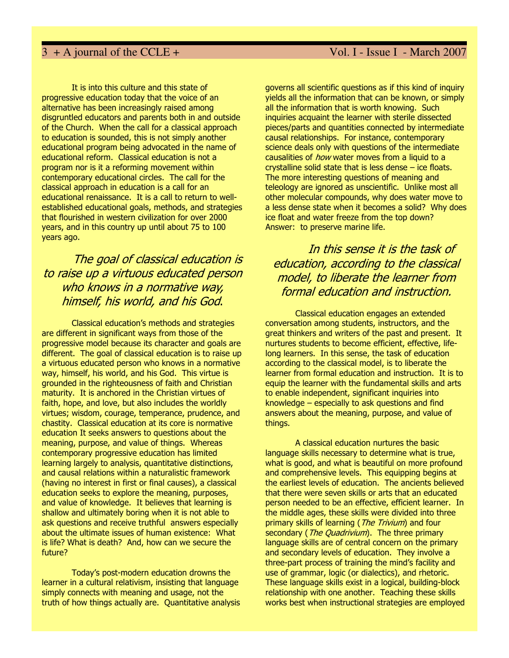It is into this culture and this state of progressive education today that the voice of an alternative has been increasingly raised among disgruntled educators and parents both in and outside of the Church. When the call for a classical approach to education is sounded, this is not simply another educational program being advocated in the name of educational reform. Classical education is not a program nor is it a reforming movement within contemporary educational circles. The call for the classical approach in education is a call for an educational renaissance. It is a call to return to wellestablished educational goals, methods, and strategies that flourished in western civilization for over 2000 years, and in this country up until about 75 to 100 years ago.

## The goal of classical education is to raise up a virtuous educated person who knows in a normative way, himself, his world, and his God.

Classical education's methods and strategies are different in significant ways from those of the progressive model because its character and goals are different. The goal of classical education is to raise up a virtuous educated person who knows in a normative way, himself, his world, and his God. This virtue is grounded in the righteousness of faith and Christian maturity. It is anchored in the Christian virtues of faith, hope, and love, but also includes the worldly virtues; wisdom, courage, temperance, prudence, and chastity. Classical education at its core is normative education It seeks answers to questions about the meaning, purpose, and value of things. Whereas contemporary progressive education has limited learning largely to analysis, quantitative distinctions, and causal relations within a naturalistic framework (having no interest in first or final causes), a classical education seeks to explore the meaning, purposes, and value of knowledge. It believes that learning is shallow and ultimately boring when it is not able to ask questions and receive truthful answers especially about the ultimate issues of human existence: What is life? What is death? And, how can we secure the future?

Today's post-modern education drowns the learner in a cultural relativism, insisting that language simply connects with meaning and usage, not the truth of how things actually are. Quantitative analysis governs all scientific questions as if this kind of inquiry yields all the information that can be known, or simply all the information that is worth knowing. Such inquiries acquaint the learner with sterile dissected pieces/parts and quantities connected by intermediate causal relationships. For instance, contemporary science deals only with questions of the intermediate causalities of *how* water moves from a liquid to a crystalline solid state that is less dense – ice floats. The more interesting questions of meaning and teleology are ignored as unscientific. Unlike most all other molecular compounds, why does water move to a less dense state when it becomes a solid? Why does ice float and water freeze from the top down? Answer: to preserve marine life.

## In this sense it is the task of education, according to the classical model, to liberate the learner from formal education and instruction.

Classical education engages an extended conversation among students, instructors, and the great thinkers and writers of the past and present. It nurtures students to become efficient, effective, lifelong learners. In this sense, the task of education according to the classical model, is to liberate the learner from formal education and instruction. It is to equip the learner with the fundamental skills and arts to enable independent, significant inquiries into knowledge – especially to ask questions and find answers about the meaning, purpose, and value of things.

A classical education nurtures the basic language skills necessary to determine what is true, what is good, and what is beautiful on more profound and comprehensive levels. This equipping begins at the earliest levels of education. The ancients believed that there were seven skills or arts that an educated person needed to be an effective, efficient learner. In the middle ages, these skills were divided into three primary skills of learning (*The Trivium*) and four secondary (*The Quadrivium*). The three primary language skills are of central concern on the primary and secondary levels of education. They involve a three-part process of training the mind's facility and use of grammar, logic (or dialectics), and rhetoric. These language skills exist in a logical, building-block relationship with one another. Teaching these skills works best when instructional strategies are employed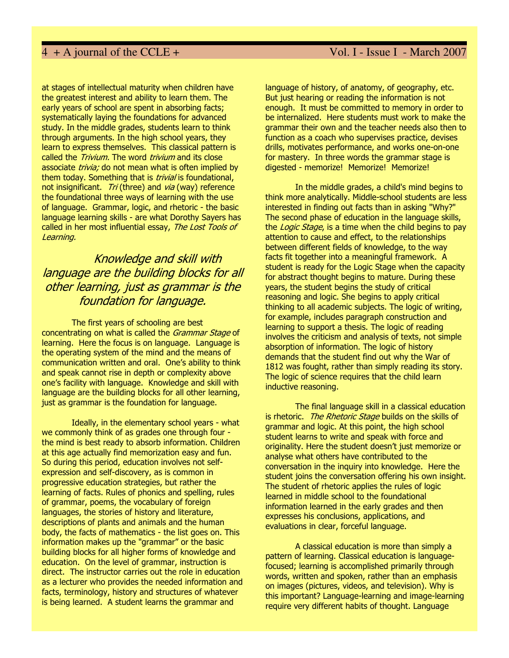at stages of intellectual maturity when children have the greatest interest and ability to learn them. The early years of school are spent in absorbing facts; systematically laying the foundations for advanced study. In the middle grades, students learn to think through arguments. In the high school years, they learn to express themselves. This classical pattern is called the *Trivium*. The word *trivium* and its close associate *trivia:* do not mean what is often implied by them today. Something that is *trivial* is foundational, not insignificant. Tri (three) and via (way) reference the foundational three ways of learning with the use of language. Grammar, logic, and rhetoric - the basic language learning skills - are what Dorothy Sayers has called in her most influential essay, The Lost Tools of Learning.

## Knowledge and skill with language are the building blocks for all other learning, just as grammar is the foundation for language.

The first years of schooling are best concentrating on what is called the *Grammar Stage* of learning. Here the focus is on language. Language is the operating system of the mind and the means of communication written and oral. One's ability to think and speak cannot rise in depth or complexity above one's facility with language. Knowledge and skill with language are the building blocks for all other learning, just as grammar is the foundation for language.

Ideally, in the elementary school years - what we commonly think of as grades one through four the mind is best ready to absorb information. Children at this age actually find memorization easy and fun. So during this period, education involves not selfexpression and self-discovery, as is common in progressive education strategies, but rather the learning of facts. Rules of phonics and spelling, rules of grammar, poems, the vocabulary of foreign languages, the stories of history and literature, descriptions of plants and animals and the human body, the facts of mathematics - the list goes on. This information makes up the "grammar" or the basic building blocks for all higher forms of knowledge and education. On the level of grammar, instruction is direct. The instructor carries out the role in education as a lecturer who provides the needed information and facts, terminology, history and structures of whatever is being learned. A student learns the grammar and

language of history, of anatomy, of geography, etc. But just hearing or reading the information is not enough. It must be committed to memory in order to be internalized. Here students must work to make the grammar their own and the teacher needs also then to function as a coach who supervises practice, devises drills, motivates performance, and works one-on-one for mastery. In three words the grammar stage is digested - memorize! Memorize! Memorize!

In the middle grades, a child's mind begins to think more analytically. Middle-school students are less interested in finding out facts than in asking "Why?" The second phase of education in the language skills, the *Logic Stage*, is a time when the child begins to pay attention to cause and effect, to the relationships between different fields of knowledge, to the way facts fit together into a meaningful framework. A student is ready for the Logic Stage when the capacity for abstract thought begins to mature. During these years, the student begins the study of critical reasoning and logic. She begins to apply critical thinking to all academic subjects. The logic of writing, for example, includes paragraph construction and learning to support a thesis. The logic of reading involves the criticism and analysis of texts, not simple absorption of information. The logic of history demands that the student find out why the War of 1812 was fought, rather than simply reading its story. The logic of science requires that the child learn inductive reasoning.

The final language skill in a classical education is rhetoric. The Rhetoric Stage builds on the skills of grammar and logic. At this point, the high school student learns to write and speak with force and originality. Here the student doesn't just memorize or analyse what others have contributed to the conversation in the inquiry into knowledge. Here the student joins the conversation offering his own insight. The student of rhetoric applies the rules of logic learned in middle school to the foundational information learned in the early grades and then expresses his conclusions, applications, and evaluations in clear, forceful language.

A classical education is more than simply a pattern of learning. Classical education is languagefocused; learning is accomplished primarily through words, written and spoken, rather than an emphasis on images (pictures, videos, and television). Why is this important? Language-learning and image-learning require very different habits of thought. Language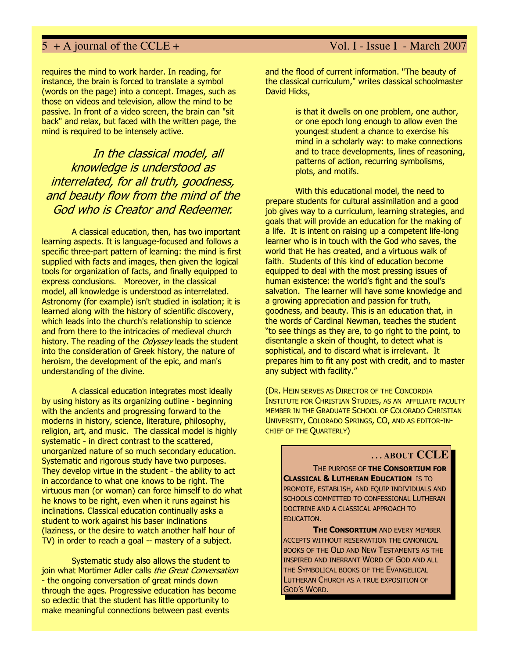requires the mind to work harder. In reading, for instance, the brain is forced to translate a symbol (words on the page) into a concept. Images, such as those on videos and television, allow the mind to be passive. In front of a video screen, the brain can "sit back" and relax, but faced with the written page, the mind is required to be intensely active.

## In the classical model, all knowledge is understood as interrelated, for all truth, goodness, and beauty flow from the mind of the God who is Creator and Redeemer.

 A classical education, then, has two important learning aspects. It is language-focused and follows a specific three-part pattern of learning: the mind is first supplied with facts and images, then given the logical tools for organization of facts, and finally equipped to express conclusions. Moreover, in the classical model, all knowledge is understood as interrelated. Astronomy (for example) isn't studied in isolation; it is learned along with the history of scientific discovery, which leads into the church's relationship to science and from there to the intricacies of medieval church history. The reading of the *Odyssey* leads the student into the consideration of Greek history, the nature of heroism, the development of the epic, and man's understanding of the divine.

A classical education integrates most ideally by using history as its organizing outline - beginning with the ancients and progressing forward to the moderns in history, science, literature, philosophy, religion, art, and music. The classical model is highly systematic - in direct contrast to the scattered, unorganized nature of so much secondary education. Systematic and rigorous study have two purposes. They develop virtue in the student - the ability to act in accordance to what one knows to be right. The virtuous man (or woman) can force himself to do what he knows to be right, even when it runs against his inclinations. Classical education continually asks a student to work against his baser inclinations (laziness, or the desire to watch another half hour of TV) in order to reach a goal -- mastery of a subject.

Systematic study also allows the student to join what Mortimer Adler calls the Great Conversation - the ongoing conversation of great minds down through the ages. Progressive education has become so eclectic that the student has little opportunity to make meaningful connections between past events

and the flood of current information. "The beauty of the classical curriculum," writes classical schoolmaster David Hicks,

> is that it dwells on one problem, one author, or one epoch long enough to allow even the youngest student a chance to exercise his mind in a scholarly way: to make connections and to trace developments, lines of reasoning, patterns of action, recurring symbolisms, plots, and motifs.

With this educational model, the need to prepare students for cultural assimilation and a good job gives way to a curriculum, learning strategies, and goals that will provide an education for the making of a life. It is intent on raising up a competent life-long learner who is in touch with the God who saves, the world that He has created, and a virtuous walk of faith. Students of this kind of education become equipped to deal with the most pressing issues of human existence: the world's fight and the soul's salvation. The learner will have some knowledge and a growing appreciation and passion for truth, goodness, and beauty. This is an education that, in the words of Cardinal Newman, teaches the student "to see things as they are, to go right to the point, to disentangle a skein of thought, to detect what is sophistical, and to discard what is irrelevant. It prepares him to fit any post with credit, and to master any subject with facility."

(DR. HEIN SERVES AS DIRECTOR OF THE CONCORDIA INSTITUTE FOR CHRISTIAN STUDIES, AS AN AFFILIATE FACULTY MEMBER IN THE GRADUATE SCHOOL OF COLORADO CHRISTIAN UNIVERSITY, COLORADO SPRINGS, CO, AND AS EDITOR-IN-CHIEF OF THE QUARTERLY)

### **. . . ABOUT CCLE**

THE PURPOSE OF THE CONSORTIUM FOR **CLASSICAL & LUTHERAN EDUCATION IS TO** PROMOTE, ESTABLISH, AND EQUIP INDIVIDUALS AND SCHOOLS COMMITTED TO CONFESSIONAL LUTHERAN DOCTRINE AND A CLASSICAL APPROACH TO EDUCATION.

THE CONSORTIUM AND EVERY MEMBER ACCEPTS WITHOUT RESERVATION THE CANONICAL BOOKS OF THE OLD AND NEW TESTAMENTS AS THE INSPIRED AND INERRANT WORD OF GOD AND ALL THE SYMBOLICAL BOOKS OF THE EVANGELICAL LUTHERAN CHURCH AS A TRUE EXPOSITION OF GOD'S WORD.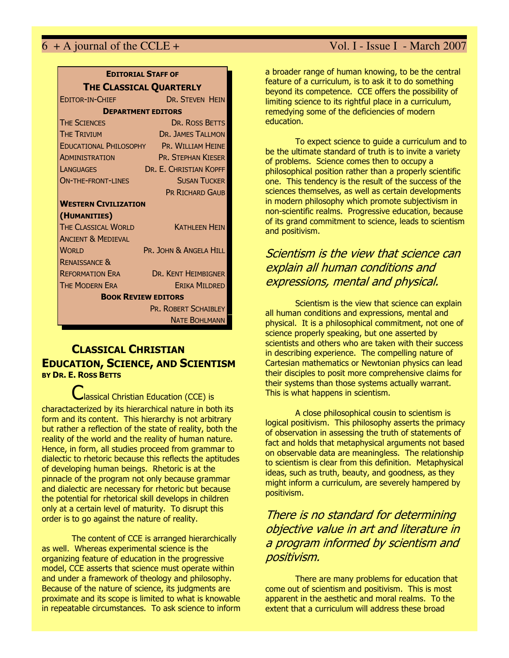| <b>EDITORIAL STAFF OF</b>                |                             |  |
|------------------------------------------|-----------------------------|--|
| THE CLASSICAL QUARTERLY                  |                             |  |
| <b>EDITOR-IN-CHIFF</b>                   | <b>DR. STEVEN HEIN</b>      |  |
| <b>DEPARTMENT EDITORS</b>                |                             |  |
| <b>THE SCIENCES</b>                      | DR. ROSS BETTS              |  |
| <b>THE TRIVIUM</b>                       | <b>DR. JAMES TALLMON</b>    |  |
| EDUCATIONAL PHILOSOPHY PR. WILLIAM HEINE |                             |  |
| <b>ADMINISTRATION</b>                    | <b>PR. STEPHAN KIESER</b>   |  |
| <b>LANGUAGES</b>                         | DR. E. CHRISTIAN KOPFF      |  |
| <b>ON-THE-FRONT-LINES</b>                | <b>SUSAN TUCKER</b>         |  |
|                                          | <b>PR RICHARD GAUB</b>      |  |
| <b>WESTERN CIVILIZATION</b>              |                             |  |
| (HUMANITIES)                             |                             |  |
| <b>THE CLASSICAL WORLD</b>               | <b>KATHLEEN HEIN</b>        |  |
| <b>ANCIENT &amp; MEDIEVAL</b>            |                             |  |
| <b>WORLD</b>                             | PR. JOHN & ANGELA HILL      |  |
| <b>RENAISSANCE &amp;</b>                 |                             |  |
| <b>REFORMATION ERA</b>                   | <b>DR. KENT HEIMBIGNER</b>  |  |
| <b>THE MODERN ERA</b>                    | <b>ERIKA MILDRED</b>        |  |
| <b>BOOK REVIEW EDITORS</b>               |                             |  |
|                                          | <b>PR. ROBERT SCHAIBLEY</b> |  |
|                                          | <b>NATE BOHLMANN</b>        |  |

## CLASSICAL CHRISTIAN EDUCATION, SCIENCE, AND SCIENTISM BY DR. E. ROSS BETTS

Classical Christian Education (CCE) is charactacterized by its hierarchical nature in both its form and its content. This hierarchy is not arbitrary but rather a reflection of the state of reality, both the reality of the world and the reality of human nature. Hence, in form, all studies proceed from grammar to dialectic to rhetoric because this reflects the aptitudes of developing human beings. Rhetoric is at the pinnacle of the program not only because grammar and dialectic are necessary for rhetoric but because the potential for rhetorical skill develops in children only at a certain level of maturity. To disrupt this order is to go against the nature of reality.

The content of CCE is arranged hierarchically as well. Whereas experimental science is the organizing feature of education in the progressive model, CCE asserts that science must operate within and under a framework of theology and philosophy. Because of the nature of science, its judgments are proximate and its scope is limited to what is knowable in repeatable circumstances. To ask science to inform a broader range of human knowing, to be the central feature of a curriculum, is to ask it to do something beyond its competence. CCE offers the possibility of limiting science to its rightful place in a curriculum, remedying some of the deficiencies of modern education.

To expect science to guide a curriculum and to be the ultimate standard of truth is to invite a variety of problems. Science comes then to occupy a philosophical position rather than a properly scientific one. This tendency is the result of the success of the sciences themselves, as well as certain developments in modern philosophy which promote subjectivism in non-scientific realms. Progressive education, because of its grand commitment to science, leads to scientism and positivism.

## Scientism is the view that science can explain all human conditions and expressions, mental and physical.

Scientism is the view that science can explain all human conditions and expressions, mental and physical. It is a philosophical commitment, not one of science properly speaking, but one asserted by scientists and others who are taken with their success in describing experience. The compelling nature of Cartesian mathematics or Newtonian physics can lead their disciples to posit more comprehensive claims for their systems than those systems actually warrant. This is what happens in scientism.

A close philosophical cousin to scientism is logical positivism. This philosophy asserts the primacy of observation in assessing the truth of statements of fact and holds that metaphysical arguments not based on observable data are meaningless. The relationship to scientism is clear from this definition. Metaphysical ideas, such as truth, beauty, and goodness, as they might inform a curriculum, are severely hampered by positivism.

There is no standard for determining objective value in art and literature in a program informed by scientism and positivism.

There are many problems for education that come out of scientism and positivism. This is most apparent in the aesthetic and moral realms. To the extent that a curriculum will address these broad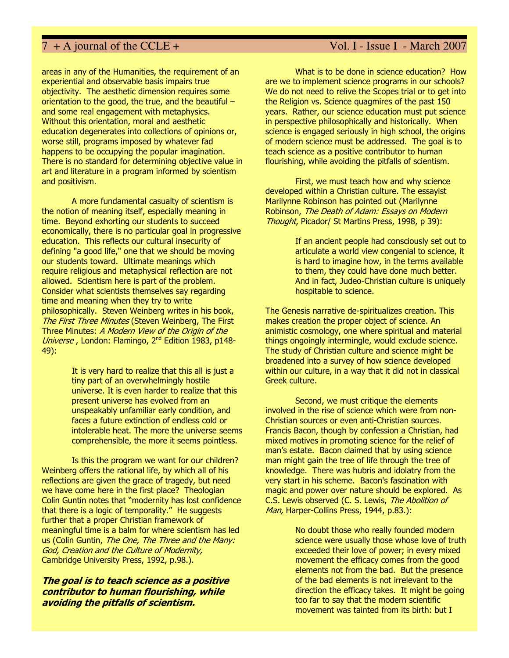areas in any of the Humanities, the requirement of an experiential and observable basis impairs true objectivity. The aesthetic dimension requires some orientation to the good, the true, and the beautiful – and some real engagement with metaphysics. Without this orientation, moral and aesthetic education degenerates into collections of opinions or, worse still, programs imposed by whatever fad happens to be occupying the popular imagination. There is no standard for determining objective value in art and literature in a program informed by scientism and positivism.

A more fundamental casualty of scientism is the notion of meaning itself, especially meaning in time. Beyond exhorting our students to succeed economically, there is no particular goal in progressive education. This reflects our cultural insecurity of defining "a good life," one that we should be moving our students toward. Ultimate meanings which require religious and metaphysical reflection are not allowed. Scientism here is part of the problem. Consider what scientists themselves say regarding time and meaning when they try to write philosophically. Steven Weinberg writes in his book, The First Three Minutes (Steven Weinberg, The First Three Minutes: A Modern View of the Origin of the Universe, London: Flamingo, 2<sup>nd</sup> Edition 1983, p148-49):

> It is very hard to realize that this all is just a tiny part of an overwhelmingly hostile universe. It is even harder to realize that this present universe has evolved from an unspeakably unfamiliar early condition, and faces a future extinction of endless cold or intolerable heat. The more the universe seems comprehensible, the more it seems pointless.

Is this the program we want for our children? Weinberg offers the rational life, by which all of his reflections are given the grace of tragedy, but need we have come here in the first place? Theologian Colin Guntin notes that "modernity has lost confidence that there is a logic of temporality." He suggests further that a proper Christian framework of meaningful time is a balm for where scientism has led us (Colin Guntin, The One, The Three and the Many: God, Creation and the Culture of Modernity, Cambridge University Press, 1992, p.98.).

The goal is to teach science as a positive contributor to human flourishing, while avoiding the pitfalls of scientism.

What is to be done in science education? How are we to implement science programs in our schools? We do not need to relive the Scopes trial or to get into the Religion vs. Science quagmires of the past 150 years. Rather, our science education must put science in perspective philosophically and historically. When science is engaged seriously in high school, the origins of modern science must be addressed. The goal is to teach science as a positive contributor to human flourishing, while avoiding the pitfalls of scientism.

First, we must teach how and why science developed within a Christian culture. The essayist Marilynne Robinson has pointed out (Marilynne Robinson, The Death of Adam: Essays on Modern Thought, Picador/ St Martins Press, 1998, p 39):

> If an ancient people had consciously set out to articulate a world view congenial to science, it is hard to imagine how, in the terms available to them, they could have done much better. And in fact, Judeo-Christian culture is uniquely hospitable to science.

The Genesis narrative de-spiritualizes creation. This makes creation the proper object of science. An animistic cosmology, one where spiritual and material things ongoingly intermingle, would exclude science. The study of Christian culture and science might be broadened into a survey of how science developed within our culture, in a way that it did not in classical Greek culture.

Second, we must critique the elements involved in the rise of science which were from non-Christian sources or even anti-Christian sources. Francis Bacon, though by confession a Christian, had mixed motives in promoting science for the relief of man's estate. Bacon claimed that by using science man might gain the tree of life through the tree of knowledge. There was hubris and idolatry from the very start in his scheme. Bacon's fascination with magic and power over nature should be explored. As C.S. Lewis observed (C. S. Lewis, The Abolition of Man, Harper-Collins Press, 1944, p.83.):

> No doubt those who really founded modern science were usually those whose love of truth exceeded their love of power; in every mixed movement the efficacy comes from the good elements not from the bad. But the presence of the bad elements is not irrelevant to the direction the efficacy takes. It might be going too far to say that the modern scientific movement was tainted from its birth: but I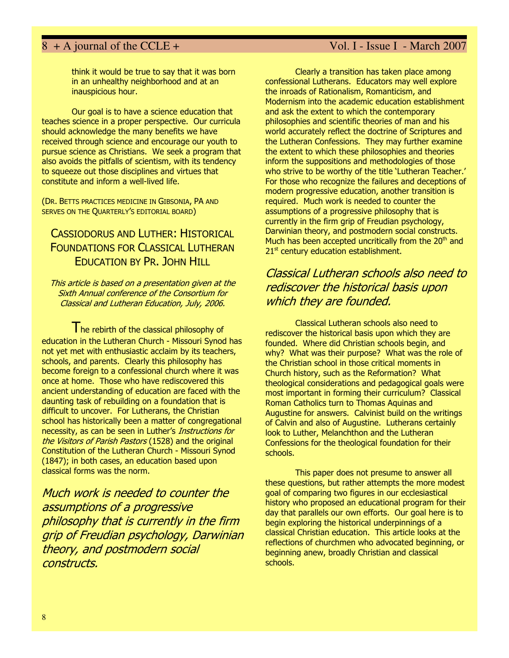think it would be true to say that it was born in an unhealthy neighborhood and at an inauspicious hour.

Our goal is to have a science education that teaches science in a proper perspective. Our curricula should acknowledge the many benefits we have received through science and encourage our youth to pursue science as Christians. We seek a program that also avoids the pitfalls of scientism, with its tendency to squeeze out those disciplines and virtues that constitute and inform a well-lived life.

(DR. BETTS PRACTICES MEDICINE IN GIBSONIA, PA AND SERVES ON THE QUARTERLY'S EDITORIAL BOARD)

## CASSIODORUS AND LUTHER: HISTORICAL FOUNDATIONS FOR CLASSICAL LUTHERAN EDUCATION BY PR. JOHN HILL

This article is based on a presentation given at the Sixth Annual conference of the Consortium for Classical and Lutheran Education, July, 2006.

The rebirth of the classical philosophy of education in the Lutheran Church - Missouri Synod has not yet met with enthusiastic acclaim by its teachers, schools, and parents. Clearly this philosophy has become foreign to a confessional church where it was once at home. Those who have rediscovered this ancient understanding of education are faced with the daunting task of rebuilding on a foundation that is difficult to uncover. For Lutherans, the Christian school has historically been a matter of congregational necessity, as can be seen in Luther's Instructions for the Visitors of Parish Pastors (1528) and the original Constitution of the Lutheran Church - Missouri Synod (1847); in both cases, an education based upon classical forms was the norm.

Much work is needed to counter the assumptions of a progressive philosophy that is currently in the firm grip of Freudian psychology, Darwinian theory, and postmodern social constructs.

Clearly a transition has taken place among confessional Lutherans. Educators may well explore the inroads of Rationalism, Romanticism, and Modernism into the academic education establishment and ask the extent to which the contemporary philosophies and scientific theories of man and his world accurately reflect the doctrine of Scriptures and the Lutheran Confessions. They may further examine the extent to which these philosophies and theories inform the suppositions and methodologies of those who strive to be worthy of the title 'Lutheran Teacher.' For those who recognize the failures and deceptions of modern progressive education, another transition is required. Much work is needed to counter the assumptions of a progressive philosophy that is currently in the firm grip of Freudian psychology, Darwinian theory, and postmodern social constructs. Much has been accepted uncritically from the  $20<sup>th</sup>$  and  $21<sup>st</sup>$  century education establishment.

## Classical Lutheran schools also need to rediscover the historical basis upon which they are founded.

Classical Lutheran schools also need to rediscover the historical basis upon which they are founded. Where did Christian schools begin, and why? What was their purpose? What was the role of the Christian school in those critical moments in Church history, such as the Reformation? What theological considerations and pedagogical goals were most important in forming their curriculum? Classical Roman Catholics turn to Thomas Aquinas and Augustine for answers. Calvinist build on the writings of Calvin and also of Augustine. Lutherans certainly look to Luther, Melanchthon and the Lutheran Confessions for the theological foundation for their schools.

This paper does not presume to answer all these questions, but rather attempts the more modest goal of comparing two figures in our ecclesiastical history who proposed an educational program for their day that parallels our own efforts. Our goal here is to begin exploring the historical underpinnings of a classical Christian education. This article looks at the reflections of churchmen who advocated beginning, or beginning anew, broadly Christian and classical schools.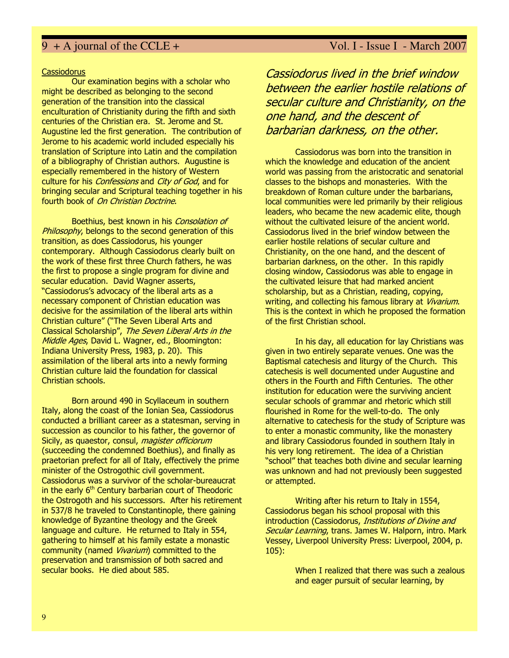### Cassiodorus

Our examination begins with a scholar who might be described as belonging to the second generation of the transition into the classical enculturation of Christianity during the fifth and sixth centuries of the Christian era. St. Jerome and St. Augustine led the first generation. The contribution of Jerome to his academic world included especially his translation of Scripture into Latin and the compilation of a bibliography of Christian authors. Augustine is especially remembered in the history of Western culture for his *Confessions* and *City of God*, and for bringing secular and Scriptural teaching together in his fourth book of On Christian Doctrine.

Boethius, best known in his Consolation of Philosophy, belongs to the second generation of this transition, as does Cassiodorus, his younger contemporary. Although Cassiodorus clearly built on the work of these first three Church fathers, he was the first to propose a single program for divine and secular education. David Wagner asserts, "Cassiodorus's advocacy of the liberal arts as a necessary component of Christian education was decisive for the assimilation of the liberal arts within Christian culture" ("The Seven Liberal Arts and Classical Scholarship", The Seven Liberal Arts in the Middle Ages, David L. Wagner, ed., Bloomington: Indiana University Press, 1983, p. 20). This assimilation of the liberal arts into a newly forming Christian culture laid the foundation for classical Christian schools.

Born around 490 in Scyllaceum in southern Italy, along the coast of the Ionian Sea, Cassiodorus conducted a brilliant career as a statesman, serving in succession as councilor to his father, the governor of Sicily, as quaestor, consul, *magister officiorum* (succeeding the condemned Boethius), and finally as praetorian prefect for all of Italy, effectively the prime minister of the Ostrogothic civil government. Cassiodorus was a survivor of the scholar-bureaucrat in the early  $6<sup>th</sup>$  Century barbarian court of Theodoric the Ostrogoth and his successors. After his retirement in 537/8 he traveled to Constantinople, there gaining knowledge of Byzantine theology and the Greek language and culture. He returned to Italy in 554, gathering to himself at his family estate a monastic community (named *Vivarium*) committed to the preservation and transmission of both sacred and secular books. He died about 585.

Cassiodorus lived in the brief window between the earlier hostile relations of secular culture and Christianity, on the one hand, and the descent of barbarian darkness, on the other.

Cassiodorus was born into the transition in which the knowledge and education of the ancient world was passing from the aristocratic and senatorial classes to the bishops and monasteries. With the breakdown of Roman culture under the barbarians, local communities were led primarily by their religious leaders, who became the new academic elite, though without the cultivated leisure of the ancient world. Cassiodorus lived in the brief window between the earlier hostile relations of secular culture and Christianity, on the one hand, and the descent of barbarian darkness, on the other. In this rapidly closing window, Cassiodorus was able to engage in the cultivated leisure that had marked ancient scholarship, but as a Christian, reading, copying, writing, and collecting his famous library at Vivarium. This is the context in which he proposed the formation of the first Christian school.

In his day, all education for lay Christians was given in two entirely separate venues. One was the Baptismal catechesis and liturgy of the Church. This catechesis is well documented under Augustine and others in the Fourth and Fifth Centuries. The other institution for education were the surviving ancient secular schools of grammar and rhetoric which still flourished in Rome for the well-to-do. The only alternative to catechesis for the study of Scripture was to enter a monastic community, like the monastery and library Cassiodorus founded in southern Italy in his very long retirement. The idea of a Christian "school" that teaches both divine and secular learning was unknown and had not previously been suggested or attempted.

Writing after his return to Italy in 1554, Cassiodorus began his school proposal with this introduction (Cassiodorus, Institutions of Divine and Secular Learning, trans. James W. Halporn, intro. Mark Vessey, Liverpool University Press: Liverpool, 2004, p. 105):

> When I realized that there was such a zealous and eager pursuit of secular learning, by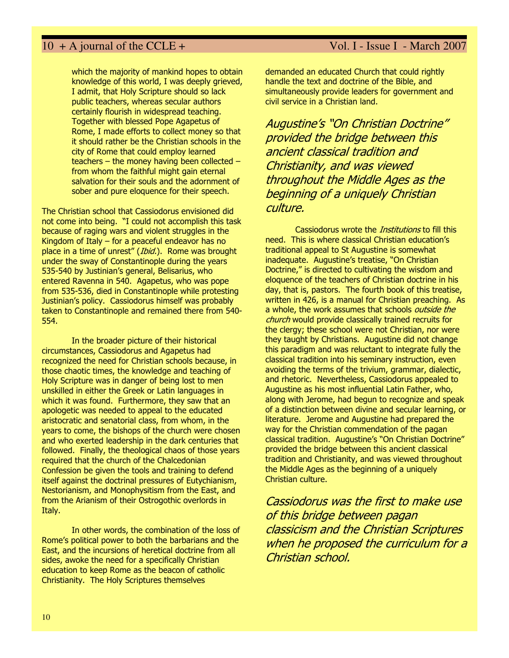which the majority of mankind hopes to obtain knowledge of this world, I was deeply grieved, I admit, that Holy Scripture should so lack public teachers, whereas secular authors certainly flourish in widespread teaching. Together with blessed Pope Agapetus of Rome, I made efforts to collect money so that it should rather be the Christian schools in the city of Rome that could employ learned teachers – the money having been collected – from whom the faithful might gain eternal salvation for their souls and the adornment of sober and pure eloquence for their speech.

The Christian school that Cassiodorus envisioned did not come into being. "I could not accomplish this task because of raging wars and violent struggles in the Kingdom of Italy – for a peaceful endeavor has no place in a time of unrest" (Ibid.). Rome was brought under the sway of Constantinople during the years 535-540 by Justinian's general, Belisarius, who entered Ravenna in 540. Agapetus, who was pope from 535-536, died in Constantinople while protesting Justinian's policy. Cassiodorus himself was probably taken to Constantinople and remained there from 540- 554.

In the broader picture of their historical circumstances, Cassiodorus and Agapetus had recognized the need for Christian schools because, in those chaotic times, the knowledge and teaching of Holy Scripture was in danger of being lost to men unskilled in either the Greek or Latin languages in which it was found. Furthermore, they saw that an apologetic was needed to appeal to the educated aristocratic and senatorial class, from whom, in the years to come, the bishops of the church were chosen and who exerted leadership in the dark centuries that followed. Finally, the theological chaos of those years required that the church of the Chalcedonian Confession be given the tools and training to defend itself against the doctrinal pressures of Eutychianism, Nestorianism, and Monophysitism from the East, and from the Arianism of their Ostrogothic overlords in Italy.

In other words, the combination of the loss of Rome's political power to both the barbarians and the East, and the incursions of heretical doctrine from all sides, awoke the need for a specifically Christian education to keep Rome as the beacon of catholic Christianity. The Holy Scriptures themselves

demanded an educated Church that could rightly handle the text and doctrine of the Bible, and simultaneously provide leaders for government and civil service in a Christian land.

Augustine's "On Christian Doctrine" provided the bridge between this ancient classical tradition and Christianity, and was viewed throughout the Middle Ages as the beginning of a uniquely Christian culture.

Cassiodorus wrote the *Institutions* to fill this need. This is where classical Christian education's traditional appeal to St Augustine is somewhat inadequate. Augustine's treatise, "On Christian Doctrine," is directed to cultivating the wisdom and eloquence of the teachers of Christian doctrine in his day, that is, pastors. The fourth book of this treatise, written in 426, is a manual for Christian preaching. As a whole, the work assumes that schools outside the church would provide classically trained recruits for the clergy; these school were not Christian, nor were they taught by Christians. Augustine did not change this paradigm and was reluctant to integrate fully the classical tradition into his seminary instruction, even avoiding the terms of the trivium, grammar, dialectic, and rhetoric. Nevertheless, Cassiodorus appealed to Augustine as his most influential Latin Father, who, along with Jerome, had begun to recognize and speak of a distinction between divine and secular learning, or literature. Jerome and Augustine had prepared the way for the Christian commendation of the pagan classical tradition. Augustine's "On Christian Doctrine" provided the bridge between this ancient classical tradition and Christianity, and was viewed throughout the Middle Ages as the beginning of a uniquely Christian culture.

Cassiodorus was the first to make use of this bridge between pagan classicism and the Christian Scriptures when he proposed the curriculum for a Christian school.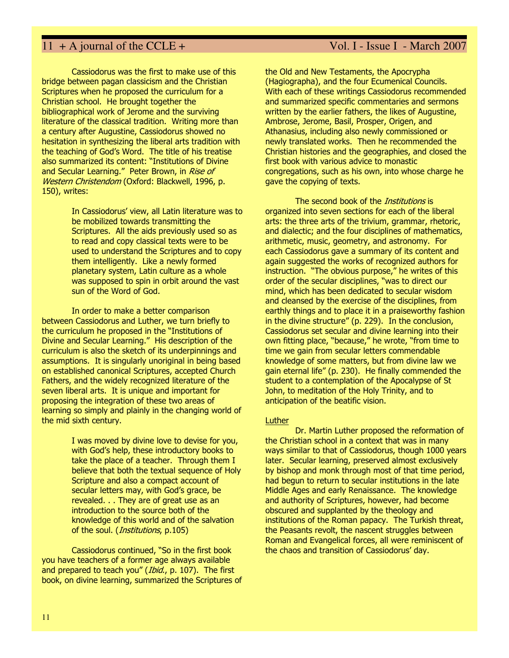Cassiodorus was the first to make use of this bridge between pagan classicism and the Christian Scriptures when he proposed the curriculum for a Christian school. He brought together the bibliographical work of Jerome and the surviving literature of the classical tradition. Writing more than a century after Augustine, Cassiodorus showed no hesitation in synthesizing the liberal arts tradition with the teaching of God's Word. The title of his treatise also summarized its content: "Institutions of Divine and Secular Learning." Peter Brown, in Rise of Western Christendom (Oxford: Blackwell, 1996, p. 150), writes:

> In Cassiodorus' view, all Latin literature was to be mobilized towards transmitting the Scriptures. All the aids previously used so as to read and copy classical texts were to be used to understand the Scriptures and to copy them intelligently. Like a newly formed planetary system, Latin culture as a whole was supposed to spin in orbit around the vast sun of the Word of God.

In order to make a better comparison between Cassiodorus and Luther, we turn briefly to the curriculum he proposed in the "Institutions of Divine and Secular Learning." His description of the curriculum is also the sketch of its underpinnings and assumptions. It is singularly unoriginal in being based on established canonical Scriptures, accepted Church Fathers, and the widely recognized literature of the seven liberal arts. It is unique and important for proposing the integration of these two areas of learning so simply and plainly in the changing world of the mid sixth century.

> I was moved by divine love to devise for you, with God's help, these introductory books to take the place of a teacher. Through them I believe that both the textual sequence of Holy Scripture and also a compact account of secular letters may, with God's grace, be revealed. . . They are of great use as an introduction to the source both of the knowledge of this world and of the salvation of the soul. (*Institutions*, p.105)

Cassiodorus continued, "So in the first book you have teachers of a former age always available and prepared to teach you" (*Ibid.*, p. 107). The first book, on divine learning, summarized the Scriptures of

### the Old and New Testaments, the Apocrypha (Hagiographa), and the four Ecumenical Councils. With each of these writings Cassiodorus recommended and summarized specific commentaries and sermons written by the earlier fathers, the likes of Augustine, Ambrose, Jerome, Basil, Prosper, Origen, and Athanasius, including also newly commissioned or newly translated works. Then he recommended the Christian histories and the geographies, and closed the first book with various advice to monastic

congregations, such as his own, into whose charge he

gave the copying of texts.

The second book of the *Institutions* is organized into seven sections for each of the liberal arts: the three arts of the trivium, grammar, rhetoric, and dialectic; and the four disciplines of mathematics, arithmetic, music, geometry, and astronomy. For each Cassiodorus gave a summary of its content and again suggested the works of recognized authors for instruction. "The obvious purpose," he writes of this order of the secular disciplines, "was to direct our mind, which has been dedicated to secular wisdom and cleansed by the exercise of the disciplines, from earthly things and to place it in a praiseworthy fashion in the divine structure" (p. 229). In the conclusion, Cassiodorus set secular and divine learning into their own fitting place, "because," he wrote, "from time to time we gain from secular letters commendable knowledge of some matters, but from divine law we gain eternal life" (p. 230). He finally commended the student to a contemplation of the Apocalypse of St John, to meditation of the Holy Trinity, and to anticipation of the beatific vision.

### Luther

Dr. Martin Luther proposed the reformation of the Christian school in a context that was in many ways similar to that of Cassiodorus, though 1000 years later. Secular learning, preserved almost exclusively by bishop and monk through most of that time period, had begun to return to secular institutions in the late Middle Ages and early Renaissance. The knowledge and authority of Scriptures, however, had become obscured and supplanted by the theology and institutions of the Roman papacy. The Turkish threat, the Peasants revolt, the nascent struggles between Roman and Evangelical forces, all were reminiscent of the chaos and transition of Cassiodorus' day.

### 11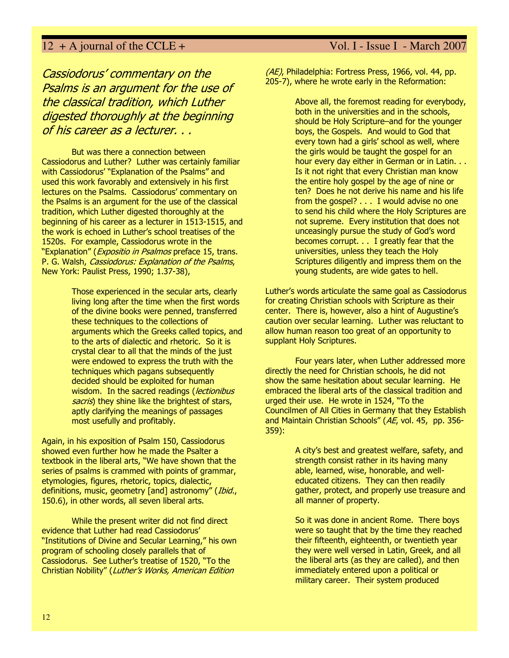## Cassiodorus' commentary on the Psalms is an argument for the use of the classical tradition, which Luther digested thoroughly at the beginning of his career as a lecturer. . .

But was there a connection between Cassiodorus and Luther? Luther was certainly familiar with Cassiodorus' "Explanation of the Psalms" and used this work favorably and extensively in his first lectures on the Psalms. Cassiodorus' commentary on the Psalms is an argument for the use of the classical tradition, which Luther digested thoroughly at the beginning of his career as a lecturer in 1513-1515, and the work is echoed in Luther's school treatises of the 1520s. For example, Cassiodorus wrote in the "Explanation" (Expositio in Psalmos preface 15, trans. P. G. Walsh, Cassiodorus: Explanation of the Psalms, New York: Paulist Press, 1990; 1.37-38),

> Those experienced in the secular arts, clearly living long after the time when the first words of the divine books were penned, transferred these techniques to the collections of arguments which the Greeks called topics, and to the arts of dialectic and rhetoric. So it is crystal clear to all that the minds of the just were endowed to express the truth with the techniques which pagans subsequently decided should be exploited for human wisdom. In the sacred readings (*lectionibus* sacris) they shine like the brightest of stars, aptly clarifying the meanings of passages most usefully and profitably.

Again, in his exposition of Psalm 150, Cassiodorus showed even further how he made the Psalter a textbook in the liberal arts, "We have shown that the series of psalms is crammed with points of grammar, etymologies, figures, rhetoric, topics, dialectic, definitions, music, geometry [and] astronomy" (Ibid., 150.6), in other words, all seven liberal arts.

While the present writer did not find direct evidence that Luther had read Cassiodorus' "Institutions of Divine and Secular Learning," his own program of schooling closely parallels that of Cassiodorus. See Luther's treatise of 1520, "To the Christian Nobility" (Luther's Works, American Edition

### (AE), Philadelphia: Fortress Press, 1966, vol. 44, pp. 205-7), where he wrote early in the Reformation:

Above all, the foremost reading for everybody, both in the universities and in the schools, should be Holy Scripture–and for the younger boys, the Gospels. And would to God that every town had a girls' school as well, where the girls would be taught the gospel for an hour every day either in German or in Latin. . . Is it not right that every Christian man know the entire holy gospel by the age of nine or ten? Does he not derive his name and his life from the gospel? . . . I would advise no one to send his child where the Holy Scriptures are not supreme. Every institution that does not unceasingly pursue the study of God's word becomes corrupt. . . I greatly fear that the universities, unless they teach the Holy Scriptures diligently and impress them on the young students, are wide gates to hell.

Luther's words articulate the same goal as Cassiodorus for creating Christian schools with Scripture as their center. There is, however, also a hint of Augustine's caution over secular learning. Luther was reluctant to allow human reason too great of an opportunity to supplant Holy Scriptures.

Four years later, when Luther addressed more directly the need for Christian schools, he did not show the same hesitation about secular learning. He embraced the liberal arts of the classical tradition and urged their use. He wrote in 1524, "To the Councilmen of All Cities in Germany that they Establish and Maintain Christian Schools" (AE, vol. 45, pp. 356- 359):

> A city's best and greatest welfare, safety, and strength consist rather in its having many able, learned, wise, honorable, and welleducated citizens. They can then readily gather, protect, and properly use treasure and all manner of property.

So it was done in ancient Rome. There boys were so taught that by the time they reached their fifteenth, eighteenth, or twentieth year they were well versed in Latin, Greek, and all the liberal arts (as they are called), and then immediately entered upon a political or military career. Their system produced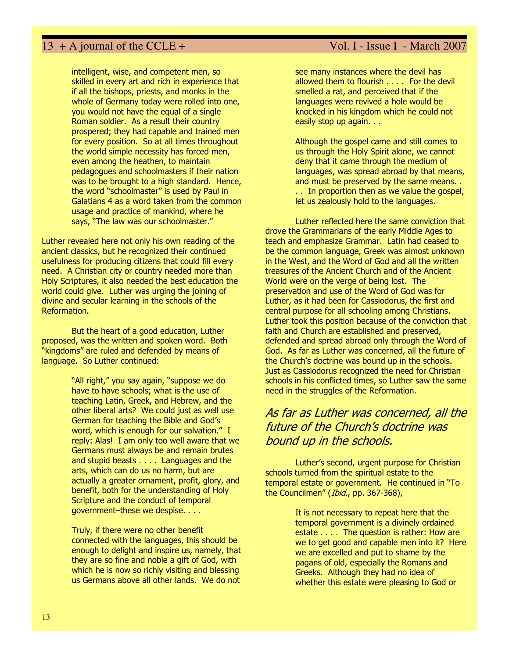intelligent, wise, and competent men, so skilled in every art and rich in experience that if all the bishops, priests, and monks in the whole of Germany today were rolled into one, you would not have the equal of a single Roman soldier. As a result their country prospered; they had capable and trained men for every position. So at all times throughout the world simple necessity has forced men, even among the heathen, to maintain pedagogues and schoolmasters if their nation was to be brought to a high standard. Hence, the word "schoolmaster" is used by Paul in Galatians 4 as a word taken from the common usage and practice of mankind, where he says, "The law was our schoolmaster."

Luther revealed here not only his own reading of the ancient classics, but he recognized their continued usefulness for producing citizens that could fill every need. A Christian city or country needed more than Holy Scriptures, it also needed the best education the world could give. Luther was urging the joining of divine and secular learning in the schools of the Reformation.

But the heart of a good education, Luther proposed, was the written and spoken word. Both "kingdoms" are ruled and defended by means of language. So Luther continued:

> "All right," you say again, "suppose we do have to have schools; what is the use of teaching Latin, Greek, and Hebrew, and the other liberal arts? We could just as well use German for teaching the Bible and God's word, which is enough for our salvation." I reply: Alas! I am only too well aware that we Germans must always be and remain brutes and stupid beasts . . . . Languages and the arts, which can do us no harm, but are actually a greater ornament, profit, glory, and benefit, both for the understanding of Holy Scripture and the conduct of temporal government–these we despise. . . .

Truly, if there were no other benefit connected with the languages, this should be enough to delight and inspire us, namely, that they are so fine and noble a gift of God, with which he is now so richly visiting and blessing us Germans above all other lands. We do not

see many instances where the devil has allowed them to flourish . . . . For the devil smelled a rat, and perceived that if the languages were revived a hole would be knocked in his kingdom which he could not easily stop up again. . .

Although the gospel came and still comes to us through the Holy Spirit alone, we cannot deny that it came through the medium of languages, was spread abroad by that means, and must be preserved by the same means. . . . In proportion then as we value the gospel, let us zealously hold to the languages.

Luther reflected here the same conviction that drove the Grammarians of the early Middle Ages to teach and emphasize Grammar. Latin had ceased to be the common language, Greek was almost unknown in the West, and the Word of God and all the written treasures of the Ancient Church and of the Ancient World were on the verge of being lost. The preservation and use of the Word of God was for Luther, as it had been for Cassiodorus, the first and central purpose for all schooling among Christians. Luther took this position because of the conviction that faith and Church are established and preserved, defended and spread abroad only through the Word of God. As far as Luther was concerned, all the future of the Church's doctrine was bound up in the schools. Just as Cassiodorus recognized the need for Christian schools in his conflicted times, so Luther saw the same need in the struggles of the Reformation.

## As far as Luther was concerned, all the future of the Church's doctrine was bound up in the schools.

Luther's second, urgent purpose for Christian schools turned from the spiritual estate to the temporal estate or government. He continued in "To the Councilmen" (Ibid., pp. 367-368),

> It is not necessary to repeat here that the temporal government is a divinely ordained estate . . . . The question is rather: How are we to get good and capable men into it? Here we are excelled and put to shame by the pagans of old, especially the Romans and Greeks. Although they had no idea of whether this estate were pleasing to God or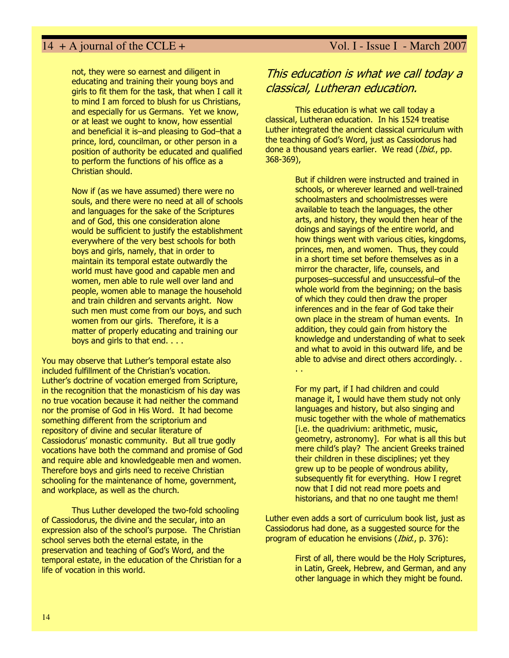not, they were so earnest and diligent in educating and training their young boys and girls to fit them for the task, that when I call it to mind I am forced to blush for us Christians, and especially for us Germans. Yet we know, or at least we ought to know, how essential and beneficial it is–and pleasing to God–that a prince, lord, councilman, or other person in a position of authority be educated and qualified to perform the functions of his office as a Christian should.

Now if (as we have assumed) there were no souls, and there were no need at all of schools and languages for the sake of the Scriptures and of God, this one consideration alone would be sufficient to justify the establishment everywhere of the very best schools for both boys and girls, namely, that in order to maintain its temporal estate outwardly the world must have good and capable men and women, men able to rule well over land and people, women able to manage the household and train children and servants aright. Now such men must come from our boys, and such women from our girls. Therefore, it is a matter of properly educating and training our boys and girls to that end. . . .

You may observe that Luther's temporal estate also included fulfillment of the Christian's vocation. Luther's doctrine of vocation emerged from Scripture, in the recognition that the monasticism of his day was no true vocation because it had neither the command nor the promise of God in His Word. It had become something different from the scriptorium and repository of divine and secular literature of Cassiodorus' monastic community. But all true godly vocations have both the command and promise of God and require able and knowledgeable men and women. Therefore boys and girls need to receive Christian schooling for the maintenance of home, government, and workplace, as well as the church.

Thus Luther developed the two-fold schooling of Cassiodorus, the divine and the secular, into an expression also of the school's purpose. The Christian school serves both the eternal estate, in the preservation and teaching of God's Word, and the temporal estate, in the education of the Christian for a life of vocation in this world.

## This education is what we call today a classical, Lutheran education.

This education is what we call today a classical, Lutheran education. In his 1524 treatise Luther integrated the ancient classical curriculum with the teaching of God's Word, just as Cassiodorus had done a thousand years earlier. We read (*Ibid.*, pp. 368-369),

> But if children were instructed and trained in schools, or wherever learned and well-trained schoolmasters and schoolmistresses were available to teach the languages, the other arts, and history, they would then hear of the doings and sayings of the entire world, and how things went with various cities, kingdoms, princes, men, and women. Thus, they could in a short time set before themselves as in a mirror the character, life, counsels, and purposes–successful and unsuccessful–of the whole world from the beginning; on the basis of which they could then draw the proper inferences and in the fear of God take their own place in the stream of human events. In addition, they could gain from history the knowledge and understanding of what to seek and what to avoid in this outward life, and be able to advise and direct others accordingly. . . .

> For my part, if I had children and could manage it, I would have them study not only languages and history, but also singing and music together with the whole of mathematics [i.e. the quadrivium: arithmetic, music, geometry, astronomy]. For what is all this but mere child's play? The ancient Greeks trained their children in these disciplines; yet they grew up to be people of wondrous ability, subsequently fit for everything. How I regret now that I did not read more poets and historians, and that no one taught me them!

Luther even adds a sort of curriculum book list, just as Cassiodorus had done, as a suggested source for the program of education he envisions (Ibid., p. 376):

> First of all, there would be the Holy Scriptures, in Latin, Greek, Hebrew, and German, and any other language in which they might be found.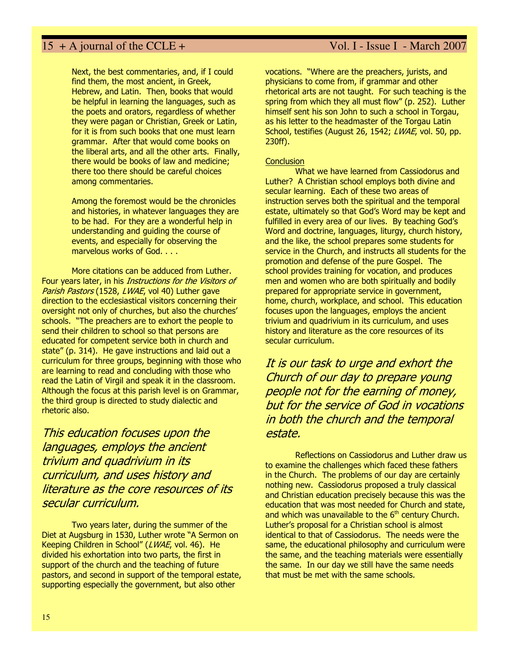Next, the best commentaries, and, if I could find them, the most ancient, in Greek, Hebrew, and Latin. Then, books that would be helpful in learning the languages, such as the poets and orators, regardless of whether they were pagan or Christian, Greek or Latin, for it is from such books that one must learn grammar. After that would come books on the liberal arts, and all the other arts. Finally, there would be books of law and medicine; there too there should be careful choices among commentaries.

Among the foremost would be the chronicles and histories, in whatever languages they are to be had. For they are a wonderful help in understanding and guiding the course of events, and especially for observing the marvelous works of God. . . .

More citations can be adduced from Luther. Four years later, in his *Instructions for the Visitors of* Parish Pastors (1528, LWAE, vol 40) Luther gave direction to the ecclesiastical visitors concerning their oversight not only of churches, but also the churches' schools. "The preachers are to exhort the people to send their children to school so that persons are educated for competent service both in church and state" (p. 314). He gave instructions and laid out a curriculum for three groups, beginning with those who are learning to read and concluding with those who read the Latin of Virgil and speak it in the classroom. Although the focus at this parish level is on Grammar, the third group is directed to study dialectic and rhetoric also.

This education focuses upon the languages, employs the ancient trivium and quadrivium in its curriculum, and uses history and literature as the core resources of its secular curriculum.

Two years later, during the summer of the Diet at Augsburg in 1530, Luther wrote "A Sermon on Keeping Children in School" (LWAE, vol. 46). He divided his exhortation into two parts, the first in support of the church and the teaching of future pastors, and second in support of the temporal estate, supporting especially the government, but also other

vocations. "Where are the preachers, jurists, and physicians to come from, if grammar and other rhetorical arts are not taught. For such teaching is the spring from which they all must flow" (p. 252). Luther himself sent his son John to such a school in Torgau, as his letter to the headmaster of the Torgau Latin School, testifies (August 26, 1542; LWAE, vol. 50, pp. 230ff).

### **Conclusion**

What we have learned from Cassiodorus and Luther? A Christian school employs both divine and secular learning. Each of these two areas of instruction serves both the spiritual and the temporal estate, ultimately so that God's Word may be kept and fulfilled in every area of our lives. By teaching God's Word and doctrine, languages, liturgy, church history, and the like, the school prepares some students for service in the Church, and instructs all students for the promotion and defense of the pure Gospel. The school provides training for vocation, and produces men and women who are both spiritually and bodily prepared for appropriate service in government, home, church, workplace, and school. This education focuses upon the languages, employs the ancient trivium and quadrivium in its curriculum, and uses history and literature as the core resources of its secular curriculum.

It is our task to urge and exhort the Church of our day to prepare young people not for the earning of money, but for the service of God in vocations in both the church and the temporal estate.

Reflections on Cassiodorus and Luther draw us to examine the challenges which faced these fathers in the Church. The problems of our day are certainly nothing new. Cassiodorus proposed a truly classical and Christian education precisely because this was the education that was most needed for Church and state, and which was unavailable to the  $6<sup>th</sup>$  century Church. Luther's proposal for a Christian school is almost identical to that of Cassiodorus. The needs were the same, the educational philosophy and curriculum were the same, and the teaching materials were essentially the same. In our day we still have the same needs that must be met with the same schools.